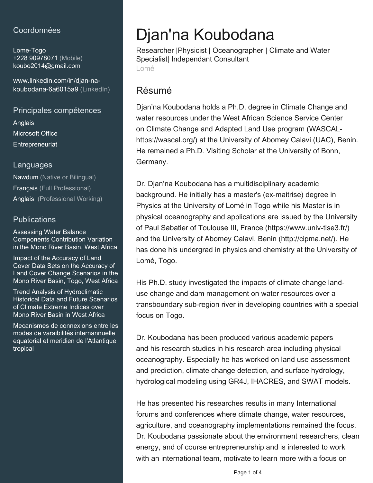### Coordonnées

Lome-Togo +228 90978071 (Mobile) [koubo2014@gmail.com](mailto:koubo2014@gmail.com)

[www.linkedin.com/in/djan-na](https://www.linkedin.com/in/djan-na-koubodana-6a6015a9?jobid=1234&lipi=urn%3Ali%3Apage%3Ad_jobs_easyapply_pdfgenresume%3BQRIvRaCgQea3d5uRiGrtLQ%3D%3D&licu=urn%3Ali%3Acontrol%3Ad_jobs_easyapply_pdfgenresume-v02_profile)[koubodana-6a6015a9 \(LinkedIn\)](https://www.linkedin.com/in/djan-na-koubodana-6a6015a9?jobid=1234&lipi=urn%3Ali%3Apage%3Ad_jobs_easyapply_pdfgenresume%3BQRIvRaCgQea3d5uRiGrtLQ%3D%3D&licu=urn%3Ali%3Acontrol%3Ad_jobs_easyapply_pdfgenresume-v02_profile)

Principales compétences Anglais

Microsoft Office **Entrepreneuriat** 

#### Languages

Nawdum (Native or Bilingual) Français (Full Professional) Anglais (Professional Working)

#### **Publications**

Assessing Water Balance Components Contribution Variation in the Mono River Basin, West Africa

Impact of the Accuracy of Land Cover Data Sets on the Accuracy of Land Cover Change Scenarios in the Mono River Basin, Togo, West Africa

Trend Analysis of Hydroclimatic Historical Data and Future Scenarios of Climate Extreme Indices over Mono River Basin in West Africa

Mecanismes de connexions entre les modes de varaibilités internannuelle equatorial et meridien de l'Atlantique tropical

# Djan'na Koubodana

Researcher |Physicist | Oceanographer | Climate and Water Specialist| Independant Consultant Lomé

# Résumé

Djan'na Koubodana holds a Ph.D. degree in Climate Change and water resources under the West African Science Service Center on Climate Change and Adapted Land Use program (WASCALhttps://wascal.org/) at the University of Abomey Calavi (UAC), Benin. He remained a Ph.D. Visiting Scholar at the University of Bonn, Germany.

Dr. Djan'na Koubodana has a multidisciplinary academic background. He initially has a master's (ex-maitrise) degree in Physics at the University of Lomé in Togo while his Master is in physical oceanography and applications are issued by the University of Paul Sabatier of Toulouse III, France (https://www.univ-tlse3.fr/) and the University of Abomey Calavi, Benin (http://cipma.net/). He has done his undergrad in physics and chemistry at the University of Lomé, Togo.

His Ph.D. study investigated the impacts of climate change landuse change and dam management on water resources over a transboundary sub-region river in developing countries with a special focus on Togo.

Dr. Koubodana has been produced various academic papers and his research studies in his research area including physical oceanography. Especially he has worked on land use assessment and prediction, climate change detection, and surface hydrology, hydrological modeling using GR4J, IHACRES, and SWAT models.

He has presented his researches results in many International forums and conferences where climate change, water resources, agriculture, and oceanography implementations remained the focus. Dr. Koubodana passionate about the environment researchers, clean energy, and of course entrepreneurship and is interested to work with an international team, motivate to learn more with a focus on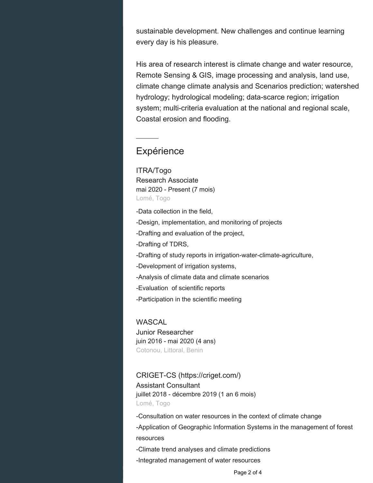sustainable development. New challenges and continue learning every day is his pleasure.

His area of research interest is climate change and water resource, Remote Sensing & GIS, image processing and analysis, land use, climate change climate analysis and Scenarios prediction; watershed hydrology; hydrological modeling; data-scarce region; irrigation system; multi-criteria evaluation at the national and regional scale, Coastal erosion and flooding.

## **Expérience**

ITRA/Togo Research Associate mai 2020 - Present (7 mois) Lomé, Togo

-Data collection in the field,

-Design, implementation, and monitoring of projects

-Drafting and evaluation of the project,

-Drafting of TDRS,

-Drafting of study reports in irrigation-water-climate-agriculture,

-Development of irrigation systems,

-Analysis of climate data and climate scenarios

-Evaluation of scientific reports

-Participation in the scientific meeting

WASCAL Junior Researcher juin 2016 - mai 2020 (4 ans) Cotonou, Littoral, Benin

#### CRIGET-CS (https://criget.com/)

Assistant Consultant juillet 2018 - décembre 2019 (1 an 6 mois) Lomé, Togo

-Consultation on water resources in the context of climate change

-Application of Geographic Information Systems in the management of forest resources

-Climate trend analyses and climate predictions

-Integrated management of water resources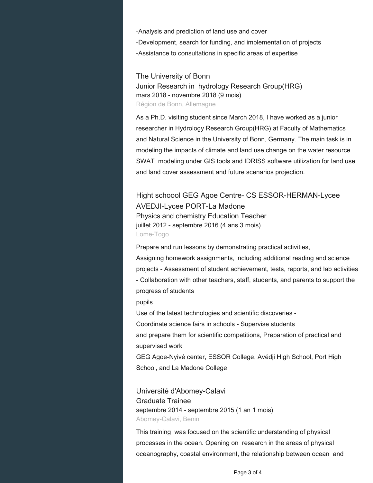-Analysis and prediction of land use and cover -Development, search for funding, and implementation of projects -Assistance to consultations in specific areas of expertise

The University of Bonn Junior Research in hydrology Research Group(HRG) mars 2018 - novembre 2018 (9 mois) Région de Bonn, Allemagne

As a Ph.D. visiting student since March 2018, I have worked as a junior researcher in Hydrology Research Group(HRG) at Faculty of Mathematics and Natural Science in the University of Bonn, Germany. The main task is in modeling the impacts of climate and land use change on the water resource. SWAT modeling under GIS tools and IDRISS software utilization for land use and land cover assessment and future scenarios projection.

Hight schoool GEG Agoe Centre- CS ESSOR-HERMAN-Lycee AVEDJI-Lycee PORT-La Madone Physics and chemistry Education Teacher juillet 2012 - septembre 2016 (4 ans 3 mois) Lome-Togo

Prepare and run lessons by demonstrating practical activities,

Assigning homework assignments, including additional reading and science projects - Assessment of student achievement, tests, reports, and lab activities - Collaboration with other teachers, staff, students, and parents to support the progress of students

pupils

Use of the latest technologies and scientific discoveries -

Coordinate science fairs in schools - Supervise students

and prepare them for scientific competitions, Preparation of practical and supervised work

GEG Agoe-Nyivé center, ESSOR College, Avédji High School, Port High School, and La Madone College

Université d'Abomey-Calavi Graduate Trainee septembre 2014 - septembre 2015 (1 an 1 mois) Abomey-Calavi, Benin

This training was focused on the scientific understanding of physical processes in the ocean. Opening on research in the areas of physical oceanography, coastal environment, the relationship between ocean and